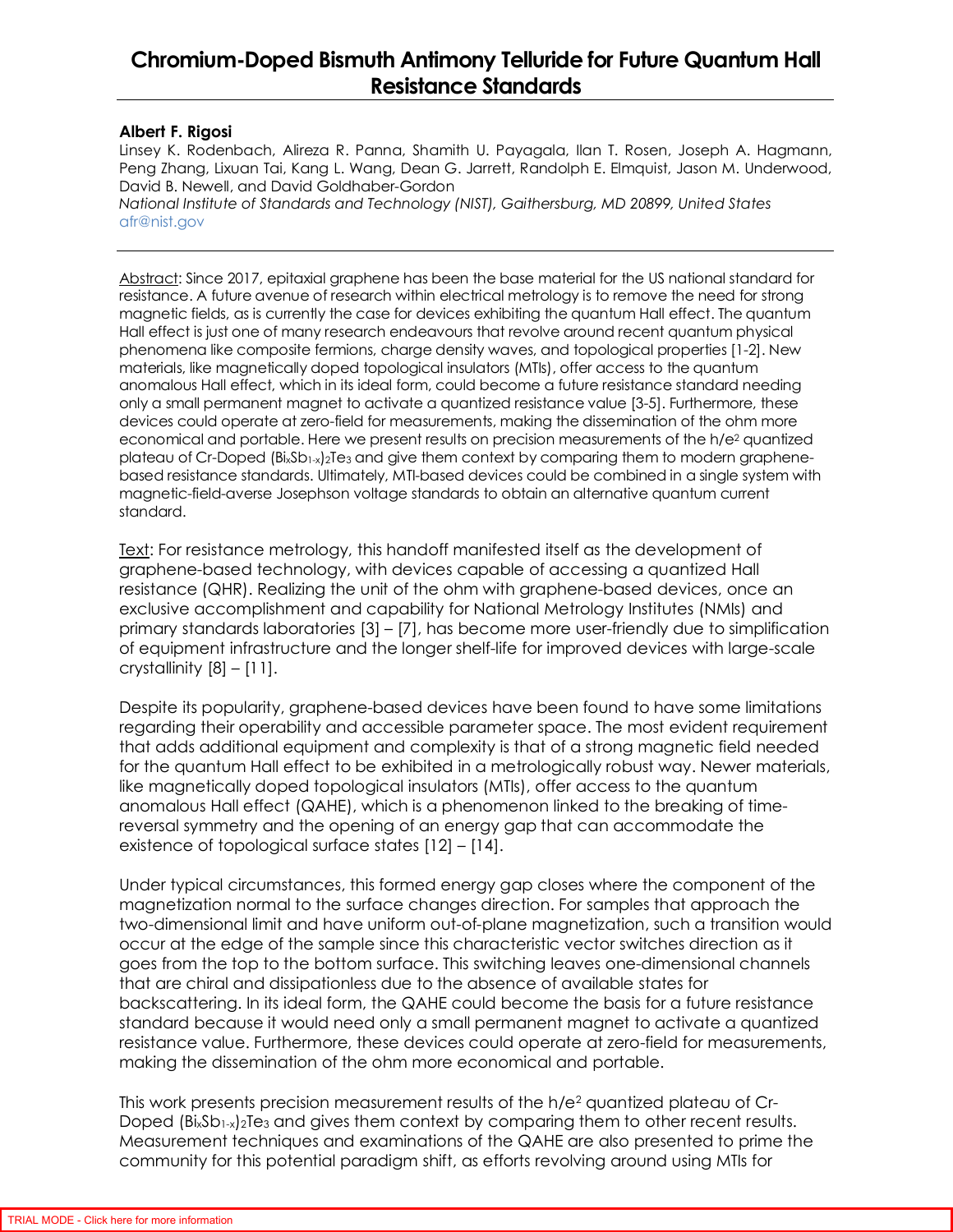## **Chromium-Doped Bismuth Antimony Telluride for Future Quantum Hall Resistance Standards**

## **Albert F. Rigosi**

Linsey K. Rodenbach, Alireza R. Panna, Shamith U. Payagala, Ilan T. Rosen, Joseph A. Hagmann, Peng Zhang, Lixuan Tai, Kang L. Wang, Dean G. Jarrett, Randolph E. Elmquist, Jason M. Underwood, David B. Newell, and David Goldhaber-Gordon

*National Institute of Standards and Technology (NIST), Gaithersburg, MD 20899, United States*  afr@nist.gov

Abstract: Since 2017, epitaxial graphene has been the base material for the US national standard for resistance. A future avenue of research within electrical metrology is to remove the need for strong magnetic fields, as is currently the case for devices exhibiting the quantum Hall effect. The quantum Hall effect is just one of many research endeavours that revolve around recent quantum physical phenomena like composite fermions, charge density waves, and topological properties [1-2]. New materials, like magnetically doped topological insulators (MTIs), offer access to the quantum anomalous Hall effect, which in its ideal form, could become a future resistance standard needing only a small permanent magnet to activate a quantized resistance value [3-5]. Furthermore, these devices could operate at zero-field for measurements, making the dissemination of the ohm more economical and portable. Here we present results on precision measurements of the h/e<sup>2</sup> quantized plateau of Cr-Doped (Bi<sub>x</sub>Sb<sub>1-x</sub>)<sub>2</sub>Te<sub>3</sub> and give them context by comparing them to modern graphenebased resistance standards. Ultimately, MTI-based devices could be combined in a single system with magnetic-field-averse Josephson voltage standards to obtain an alternative quantum current standard.

Text: For resistance metrology, this handoff manifested itself as the development of graphene-based technology, with devices capable of accessing a quantized Hall resistance (QHR). Realizing the unit of the ohm with graphene-based devices, once an exclusive accomplishment and capability for National Metrology Institutes (NMIs) and primary standards laboratories [3] – [7], has become more user-friendly due to simplification of equipment infrastructure and the longer shelf-life for improved devices with large-scale crystallinity  $[8] - [11]$ .

Despite its popularity, graphene-based devices have been found to have some limitations regarding their operability and accessible parameter space. The most evident requirement that adds additional equipment and complexity is that of a strong magnetic field needed for the quantum Hall effect to be exhibited in a metrologically robust way. Newer materials, like magnetically doped topological insulators (MTIs), offer access to the quantum anomalous Hall effect (QAHE), which is a phenomenon linked to the breaking of timereversal symmetry and the opening of an energy gap that can accommodate the existence of topological surface states [12] – [14].

Under typical circumstances, this formed energy gap closes where the component of the magnetization normal to the surface changes direction. For samples that approach the two-dimensional limit and have uniform out-of-plane magnetization, such a transition would occur at the edge of the sample since this characteristic vector switches direction as it goes from the top to the bottom surface. This switching leaves one-dimensional channels that are chiral and dissipationless due to the absence of available states for backscattering. In its ideal form, the QAHE could become the basis for a future resistance standard because it would need only a small permanent magnet to activate a quantized resistance value. Furthermore, these devices could operate at zero-field for measurements, making the dissemination of the ohm more economical and portable.

This work presents precision measurement results of the h/e $^{\rm 2}$  quantized plateau of Cr-Doped  $(B is Sb<sub>1-x</sub>)<sub>2</sub>Te<sub>3</sub>$  and gives them context by comparing them to other recent results. Measurement techniques and examinations of the QAHE are also presented to prime the community for this potential paradigm shift, as efforts revolving around using MTIs for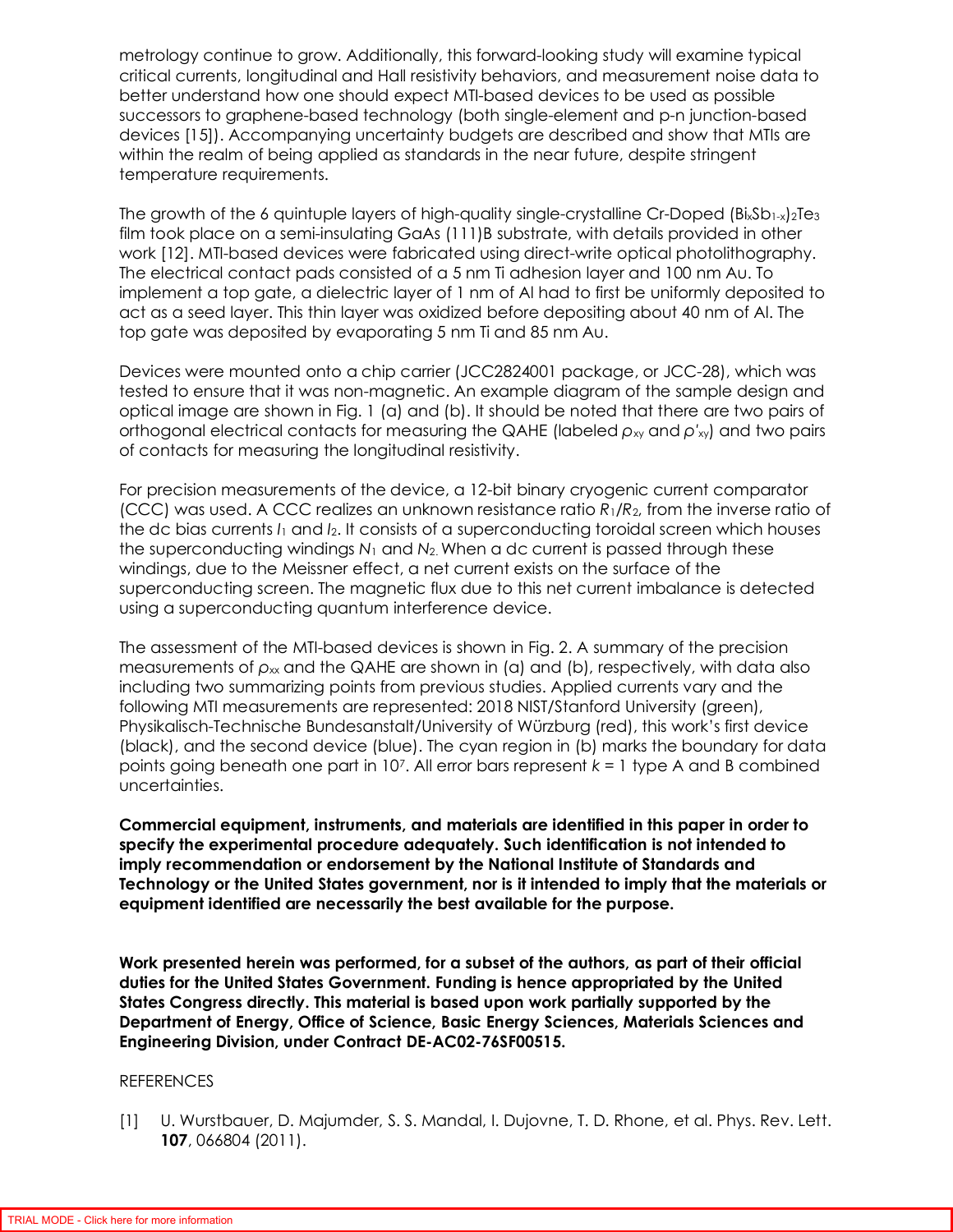metrology continue to grow. Additionally, this forward-looking study will examine typical critical currents, longitudinal and Hall resistivity behaviors, and measurement noise data to better understand how one should expect MTI-based devices to be used as possible successors to graphene-based technology (both single-element and p-n junction-based devices [15]). Accompanying uncertainty budgets are described and show that MTIs are within the realm of being applied as standards in the near future, despite stringent temperature requirements.

The growth of the 6 quintuple layers of high-quality single-crystalline Cr-Doped  $(B_xSD_{1-x})_2Te_3$ film took place on a semi-insulating GaAs (111)B substrate, with details provided in other work [12]. MTI-based devices were fabricated using direct-write optical photolithography. The electrical contact pads consisted of a 5 nm Ti adhesion layer and 100 nm Au. To implement a top gate, a dielectric layer of 1 nm of Al had to first be uniformly deposited to act as a seed layer. This thin layer was oxidized before depositing about 40 nm of Al. The top gate was deposited by evaporating 5 nm Ti and 85 nm Au.

Devices were mounted onto a chip carrier (JCC2824001 package, or JCC-28), which was tested to ensure that it was non-magnetic. An example diagram of the sample design and optical image are shown in Fig. 1 (a) and (b). It should be noted that there are two pairs of orthogonal electrical contacts for measuring the QAHE (labeled  $ρ<sub>x</sub>$  and  $ρ'<sub>x</sub>$ ) and two pairs of contacts for measuring the longitudinal resistivity.

For precision measurements of the device, a 12-bit binary cryogenic current comparator (CCC) was used. A CCC realizes an unknown resistance ratio *R*1/*R*2, from the inverse ratio of the dc bias currents *I*1 and *I*2. It consists of a superconducting toroidal screen which houses the superconducting windings *N*1 and *N*2. When a dc current is passed through these windings, due to the Meissner effect, a net current exists on the surface of the superconducting screen. The magnetic flux due to this net current imbalance is detected using a superconducting quantum interference device.

The assessment of the MTI-based devices is shown in Fig. 2. A summary of the precision measurements of  $ρ_∞$  and the QAHE are shown in (a) and (b), respectively, with data also including two summarizing points from previous studies. Applied currents vary and the following MTI measurements are represented: 2018 NIST/Stanford University (green), Physikalisch-Technische Bundesanstalt/University of Würzburg (red), this work's first device (black), and the second device (blue). The cyan region in (b) marks the boundary for data points going beneath one part in 10<sup>7</sup> . All error bars represent *k* = 1 type A and B combined uncertainties.

**Commercial equipment, instruments, and materials are identified in this paper in order to specify the experimental procedure adequately. Such identification is not intended to imply recommendation or endorsement by the National Institute of Standards and Technology or the United States government, nor is it intended to imply that the materials or equipment identified are necessarily the best available for the purpose.** 

**Work presented herein was performed, for a subset of the authors, as part of their official duties for the United States Government. Funding is hence appropriated by the United States Congress directly. This material is based upon work partially supported by the Department of Energy, Office of Science, Basic Energy Sciences, Materials Sciences and Engineering Division, under Contract DE-AC02-76SF00515.**

## REFERENCES

[1] U. Wurstbauer, D. Majumder, S. S. Mandal, I. Dujovne, T. D. Rhone, et al. Phys. Rev. Lett. **107**, 066804 (2011).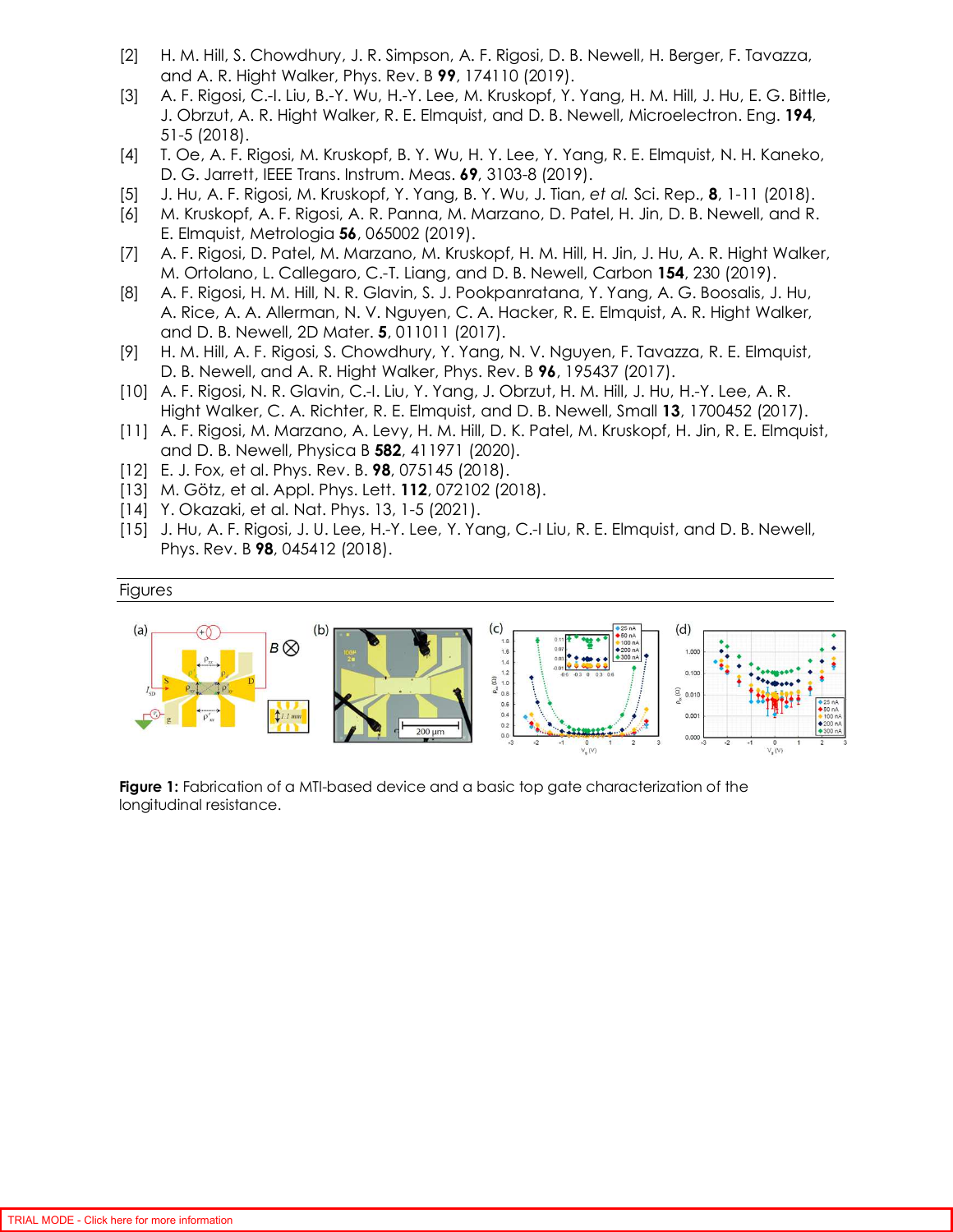- [2] H. M. Hill, S. Chowdhury, J. R. Simpson, A. F. Rigosi, D. B. Newell, H. Berger, F. Tavazza, and A. R. Hight Walker, Phys. Rev. B **99**, 174110 (2019).
- [3] A. F. Rigosi, C.-I. Liu, B.-Y. Wu, H.-Y. Lee, M. Kruskopf, Y. Yang, H. M. Hill, J. Hu, E. G. Bittle, J. Obrzut, A. R. Hight Walker, R. E. Elmquist, and D. B. Newell, Microelectron. Eng. **194**, 51-5 (2018).
- [4] T. Oe, A. F. Rigosi, M. Kruskopf, B. Y. Wu, H. Y. Lee, Y. Yang, R. E. Elmquist, N. H. Kaneko, D. G. Jarrett, IEEE Trans. Instrum. Meas. **69**, 3103-8 (2019).
- [5] J. Hu, A. F. Rigosi, M. Kruskopf, Y. Yang, B. Y. Wu, J. Tian, *et al.* Sci. Rep., **8**, 1-11 (2018).
- [6] M. Kruskopf, A. F. Rigosi, A. R. Panna, M. Marzano, D. Patel, H. Jin, D. B. Newell, and R. E. Elmquist, Metrologia **56**, 065002 (2019).
- [7] A. F. Rigosi, D. Patel, M. Marzano, M. Kruskopf, H. M. Hill, H. Jin, J. Hu, A. R. Hight Walker, M. Ortolano, L. Callegaro, C.-T. Liang, and D. B. Newell, Carbon **154**, 230 (2019).
- [8] A. F. Rigosi, H. M. Hill, N. R. Glavin, S. J. Pookpanratana, Y. Yang, A. G. Boosalis, J. Hu, A. Rice, A. A. Allerman, N. V. Nguyen, C. A. Hacker, R. E. Elmquist, A. R. Hight Walker, and D. B. Newell, 2D Mater. **5**, 011011 (2017).
- [9] H. M. Hill, A. F. Rigosi, S. Chowdhury, Y. Yang, N. V. Nguyen, F. Tavazza, R. E. Elmquist, D. B. Newell, and A. R. Hight Walker, Phys. Rev. B **96**, 195437 (2017).
- [10] A. F. Rigosi, N. R. Glavin, C.-I. Liu, Y. Yang, J. Obrzut, H. M. Hill, J. Hu, H.-Y. Lee, A. R. Hight Walker, C. A. Richter, R. E. Elmquist, and D. B. Newell, Small **13**, 1700452 (2017).
- [11] A. F. Rigosi, M. Marzano, A. Levy, H. M. Hill, D. K. Patel, M. Kruskopf, H. Jin, R. E. Elmquist, and D. B. Newell, Physica B **582**, 411971 (2020).
- [12] E. J. Fox, et al. Phys. Rev. B. **98**, 075145 (2018).
- [13] M. Götz, et al. Appl. Phys. Lett. **112**, 072102 (2018).
- [14] Y. Okazaki, et al. Nat. Phys. 13, 1-5 (2021).
- [15] J. Hu, A. F. Rigosi, J. U. Lee, H.-Y. Lee, Y. Yang, C.-I Liu, R. E. Elmquist, and D. B. Newell, Phys. Rev. B **98**, 045412 (2018).

## Figures



**Figure 1:** Fabrication of a MTI-based device and a basic top gate characterization of the longitudinal resistance.